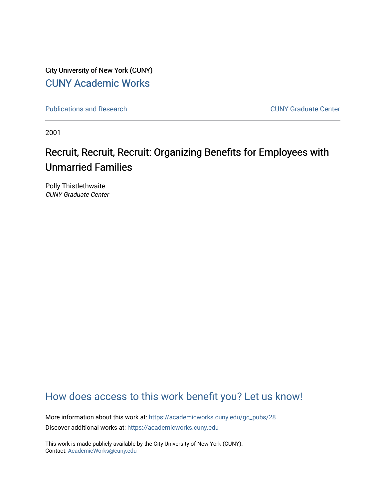City University of New York (CUNY) [CUNY Academic Works](https://academicworks.cuny.edu/) 

[Publications and Research](https://academicworks.cuny.edu/gc_pubs) [CUNY Graduate Center](https://academicworks.cuny.edu/gc) 

2001

# Recruit, Recruit, Recruit: Organizing Benefits for Employees with Unmarried Families

Polly Thistlethwaite CUNY Graduate Center

# [How does access to this work benefit you? Let us know!](http://ols.cuny.edu/academicworks/?ref=https://academicworks.cuny.edu/gc_pubs/28)

More information about this work at: [https://academicworks.cuny.edu/gc\\_pubs/28](https://academicworks.cuny.edu/gc_pubs/28)  Discover additional works at: [https://academicworks.cuny.edu](https://academicworks.cuny.edu/?)

This work is made publicly available by the City University of New York (CUNY). Contact: [AcademicWorks@cuny.edu](mailto:AcademicWorks@cuny.edu)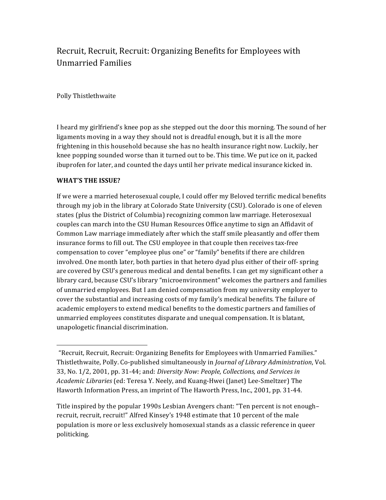## Recruit, Recruit, Recruit: Organizing Benefits for Employees with Unmarried Families

Polly Thistlethwaite

I heard my girlfriend's knee pop as she stepped out the door this morning. The sound of her ligaments moving in a way they should not is dreadful enough, but it is all the more frightening in this household because she has no health insurance right now. Luckily, her knee popping sounded worse than it turned out to be. This time. We put ice on it, packed ibuprofen for later, and counted the days until her private medical insurance kicked in.

### **WHAT'S THE ISSUE?**

 

If we were a married heterosexual couple, I could offer my Beloved terrific medical benefits through my job in the library at Colorado State University (CSU). Colorado is one of eleven states (plus the District of Columbia) recognizing common law marriage. Heterosexual couples can march into the CSU Human Resources Office anytime to sign an Affidavit of Common Law marriage immediately after which the staff smile pleasantly and offer them insurance forms to fill out. The CSU employee in that couple then receives tax-free compensation to cover "employee plus one" or "family" benefits if there are children involved. One month later, both parties in that hetero dyad plus either of their off- spring are covered by CSU's generous medical and dental benefits. I can get my significant other a library card, because CSU's library "microenvironment" welcomes the partners and families of unmarried employees. But I am denied compensation from my university employer to cover the substantial and increasing costs of my family's medical benefits. The failure of academic employers to extend medical benefits to the domestic partners and families of unmarried employees constitutes disparate and unequal compensation. It is blatant, unapologetic financial discrimination.

Title inspired by the popular 1990s Lesbian Avengers chant: "Ten percent is not enoughrecruit, recruit, recruit!" Alfred Kinsey's 1948 estimate that 10 percent of the male population is more or less exclusively homosexual stands as a classic reference in queer politicking.

<sup>&</sup>quot;Recruit, Recruit, Recruit: Organizing Benefits for Employees with Unmarried Families." Thistlethwaite, Polly. Co-published simultaneously in *Journal of Library Administration*, Vol. 33, No. 1/2, 2001, pp. 31-44; and: *Diversity Now: People, Collections, and Services in Academic Libraries* (ed: Teresa Y. Neely, and Kuang-Hwei (Janet) Lee-Smeltzer) The Haworth Information Press, an imprint of The Haworth Press, Inc., 2001, pp. 31-44.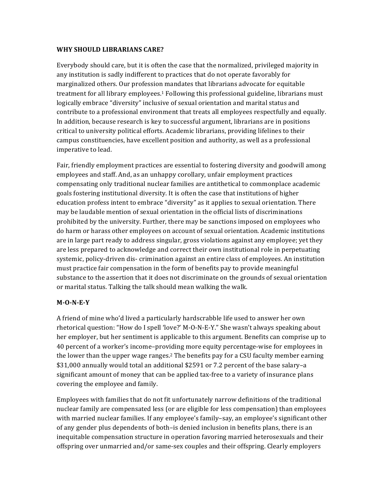#### **WHY SHOULD LIBRARIANS CARE?**

Everybody should care, but it is often the case that the normalized, privileged majority in any institution is sadly indifferent to practices that do not operate favorably for marginalized others. Our profession mandates that librarians advocate for equitable treatment for all library employees.<sup>1</sup> Following this professional guideline, librarians must logically embrace "diversity" inclusive of sexual orientation and marital status and contribute to a professional environment that treats all employees respectfully and equally. In addition, because research is key to successful argument, librarians are in positions critical to university political efforts. Academic librarians, providing lifelines to their campus constituencies, have excellent position and authority, as well as a professional imperative to lead.

Fair, friendly employment practices are essential to fostering diversity and goodwill among employees and staff. And, as an unhappy corollary, unfair employment practices compensating only traditional nuclear families are antithetical to commonplace academic goals fostering institutional diversity. It is often the case that institutions of higher education profess intent to embrace "diversity" as it applies to sexual orientation. There may be laudable mention of sexual orientation in the official lists of discriminations prohibited by the university. Further, there may be sanctions imposed on employees who do harm or harass other employees on account of sexual orientation. Academic institutions are in large part ready to address singular, gross violations against any employee; yet they are less prepared to acknowledge and correct their own institutional role in perpetuating systemic, policy-driven dis- crimination against an entire class of employees. An institution must practice fair compensation in the form of benefits pay to provide meaningful substance to the assertion that it does not discriminate on the grounds of sexual orientation or marital status. Talking the talk should mean walking the walk.

#### **M-O-N-E-Y**

A friend of mine who'd lived a particularly hardscrabble life used to answer her own rhetorical question: "How do I spell 'love?'  $M$ -O-N-E-Y." She wasn't always speaking about her employer, but her sentiment is applicable to this argument. Benefits can comprise up to 40 percent of a worker's income–providing more equity percentage-wise for employees in the lower than the upper wage ranges.<sup>2</sup> The benefits pay for a CSU faculty member earning \$31,000 annually would total an additional \$2591 or 7.2 percent of the base salary-a significant amount of money that can be applied tax-free to a variety of insurance plans covering the employee and family.

Employees with families that do not fit unfortunately narrow definitions of the traditional nuclear family are compensated less (or are eligible for less compensation) than employees with married nuclear families. If any employee's family–say, an employee's significant other of any gender plus dependents of both–is denied inclusion in benefits plans, there is an inequitable compensation structure in operation favoring married heterosexuals and their offspring over unmarried and/or same-sex couples and their offspring. Clearly employers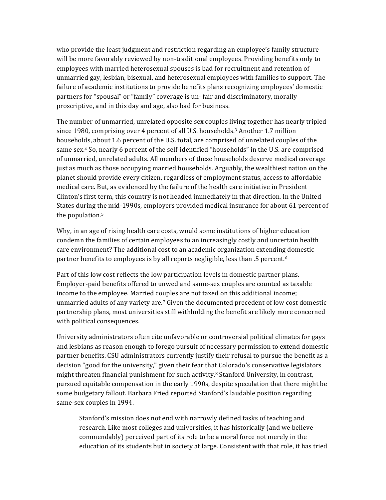who provide the least judgment and restriction regarding an employee's family structure will be more favorably reviewed by non-traditional employees. Providing benefits only to employees with married heterosexual spouses is bad for recruitment and retention of unmarried gay, lesbian, bisexual, and heterosexual employees with families to support. The failure of academic institutions to provide benefits plans recognizing employees' domestic partners for "spousal" or "family" coverage is un-fair and discriminatory, morally proscriptive, and in this day and age, also bad for business.

The number of unmarried, unrelated opposite sex couples living together has nearly tripled since 1980, comprising over 4 percent of all U.S. households.<sup>3</sup> Another 1.7 million households, about 1.6 percent of the U.S. total, are comprised of unrelated couples of the same sex.<sup>4</sup> So, nearly 6 percent of the self-identified "households" in the U.S. are comprised of unmarried, unrelated adults. All members of these households deserve medical coverage just as much as those occupying married households. Arguably, the wealthiest nation on the planet should provide every citizen, regardless of employment status, access to affordable medical care. But, as evidenced by the failure of the health care initiative in President Clinton's first term, this country is not headed immediately in that direction. In the United States during the mid-1990s, employers provided medical insurance for about 61 percent of the population.<sup>5</sup>

Why, in an age of rising health care costs, would some institutions of higher education condemn the families of certain employees to an increasingly costly and uncertain health care environment? The additional cost to an academic organization extending domestic partner benefits to employees is by all reports negligible, less than .5 percent.<sup>6</sup>

Part of this low cost reflects the low participation levels in domestic partner plans. Employer-paid benefits offered to unwed and same-sex couples are counted as taxable income to the employee. Married couples are not taxed on this additional income; unmarried adults of any variety are.<sup>7</sup> Given the documented precedent of low cost domestic partnership plans, most universities still withholding the benefit are likely more concerned with political consequences.

University administrators often cite unfavorable or controversial political climates for gays and lesbians as reason enough to forego pursuit of necessary permission to extend domestic partner benefits. CSU administrators currently justify their refusal to pursue the benefit as a decision "good for the university," given their fear that Colorado's conservative legislators might threaten financial punishment for such activity.<sup>8</sup> Stanford University, in contrast, pursued equitable compensation in the early 1990s, despite speculation that there might be some budgetary fallout. Barbara Fried reported Stanford's laudable position regarding same-sex couples in 1994.

Stanford's mission does not end with narrowly defined tasks of teaching and research. Like most colleges and universities, it has historically (and we believe commendably) perceived part of its role to be a moral force not merely in the education of its students but in society at large. Consistent with that role, it has tried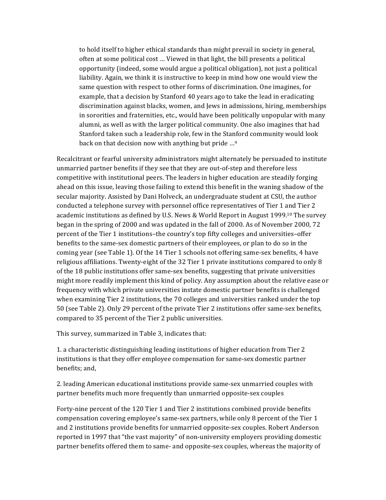to hold itself to higher ethical standards than might prevail in society in general, often at some political cost ... Viewed in that light, the bill presents a political opportunity (indeed, some would argue a political obligation), not just a political liability. Again, we think it is instructive to keep in mind how one would view the same question with respect to other forms of discrimination. One imagines, for example, that a decision by Stanford 40 years ago to take the lead in eradicating discrimination against blacks, women, and Jews in admissions, hiring, memberships in sororities and fraternities, etc., would have been politically unpopular with many alumni, as well as with the larger political community. One also imagines that had Stanford taken such a leadership role, few in the Stanford community would look back on that decision now with anything but pride  $\cdot$ ..<sup>9</sup>

Recalcitrant or fearful university administrators might alternately be persuaded to institute unmarried partner benefits if they see that they are out-of-step and therefore less competitive with institutional peers. The leaders in higher education are steadily forging ahead on this issue, leaving those failing to extend this benefit in the waning shadow of the secular majority. Assisted by Dani Holveck, an undergraduate student at CSU, the author conducted a telephone survey with personnel office representatives of Tier 1 and Tier 2 academic institutions as defined by U.S. News & World Report in August 1999.<sup>10</sup> The survey began in the spring of 2000 and was updated in the fall of 2000. As of November 2000, 72 percent of the Tier 1 institutions–the country's top fifty colleges and universities–offer benefits to the same-sex domestic partners of their employees, or plan to do so in the coming year (see Table 1). Of the 14 Tier 1 schools not offering same-sex benefits, 4 have religious affiliations. Twenty-eight of the 32 Tier 1 private institutions compared to only 8 of the 18 public institutions offer same-sex benefits, suggesting that private universities might more readily implement this kind of policy. Any assumption about the relative ease or frequency with which private universities instate domestic partner benefits is challenged when examining Tier 2 institutions, the  $70$  colleges and universities ranked under the top 50 (see Table 2). Only 29 percent of the private Tier 2 institutions offer same-sex benefits, compared to 35 percent of the Tier 2 public universities.

This survey, summarized in Table 3, indicates that:

1. a characteristic distinguishing leading institutions of higher education from Tier 2 institutions is that they offer employee compensation for same-sex domestic partner benefits; and,

2. leading American educational institutions provide same-sex unmarried couples with partner benefits much more frequently than unmarried opposite-sex couples

Forty-nine percent of the 120 Tier 1 and Tier 2 institutions combined provide benefits compensation covering employee's same-sex partners, while only 8 percent of the Tier 1 and 2 institutions provide benefits for unmarried opposite-sex couples. Robert Anderson reported in 1997 that "the vast majority" of non-university employers providing domestic partner benefits offered them to same- and opposite-sex couples, whereas the majority of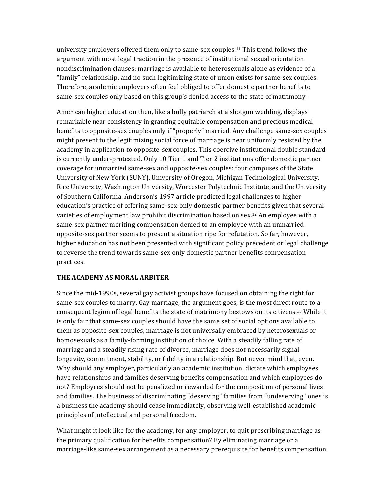university employers offered them only to same-sex couples.<sup>11</sup> This trend follows the argument with most legal traction in the presence of institutional sexual orientation nondiscrimination clauses: marriage is available to heterosexuals alone as evidence of a "family" relationship, and no such legitimizing state of union exists for same-sex couples. Therefore, academic employers often feel obliged to offer domestic partner benefits to same-sex couples only based on this group's denied access to the state of matrimony.

American higher education then, like a bully patriarch at a shotgun wedding, displays remarkable near consistency in granting equitable compensation and precious medical benefits to opposite-sex couples only if "properly" married. Any challenge same-sex couples might present to the legitimizing social force of marriage is near uniformly resisted by the academy in application to opposite-sex couples. This coercive institutional double standard is currently under-protested. Only 10 Tier 1 and Tier 2 institutions offer domestic partner coverage for unmarried same-sex and opposite-sex couples: four campuses of the State University of New York (SUNY), University of Oregon, Michigan Technological University, Rice University, Washington University, Worcester Polytechnic Institute, and the University of Southern California. Anderson's 1997 article predicted legal challenges to higher education's practice of offering same-sex-only domestic partner benefits given that several varieties of employment law prohibit discrimination based on sex.<sup>12</sup> An employee with a same-sex partner meriting compensation denied to an employee with an unmarried opposite-sex partner seems to present a situation ripe for refutation. So far, however, higher education has not been presented with significant policy precedent or legal challenge to reverse the trend towards same-sex only domestic partner benefits compensation practices.

#### THE ACADEMY AS MORAL ARBITER

Since the mid-1990s, several gay activist groups have focused on obtaining the right for same-sex couples to marry. Gay marriage, the argument goes, is the most direct route to a consequent legion of legal benefits the state of matrimony bestows on its citizens.<sup>13</sup> While it is only fair that same-sex couples should have the same set of social options available to them as opposite-sex couples, marriage is not universally embraced by heterosexuals or homosexuals as a family-forming institution of choice. With a steadily falling rate of marriage and a steadily rising rate of divorce, marriage does not necessarily signal longevity, commitment, stability, or fidelity in a relationship. But never mind that, even. Why should any employer, particularly an academic institution, dictate which employees have relationships and families deserving benefits compensation and which employees do not? Employees should not be penalized or rewarded for the composition of personal lives and families. The business of discriminating "deserving" families from "undeserving" ones is a business the academy should cease immediately, observing well-established academic principles of intellectual and personal freedom.

What might it look like for the academy, for any employer, to quit prescribing marriage as the primary qualification for benefits compensation? By eliminating marriage or a marriage-like same-sex arrangement as a necessary prerequisite for benefits compensation,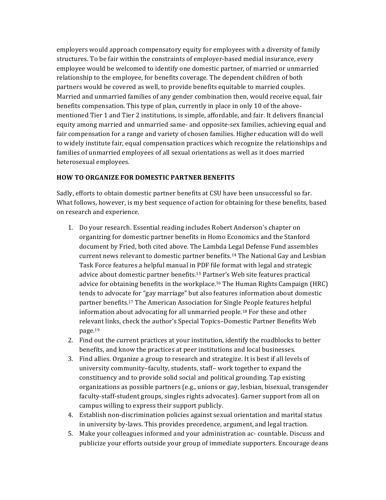employers would approach compensatory equity for employees with a diversity of family structures. To be fair within the constraints of employer-based medial insurance, every employee would be welcomed to identify one domestic partner, of married or unmarried relationship to the employee, for benefits coverage. The dependent children of both partners would be covered as well, to provide benefits equitable to married couples. Married and unmarried families of any gender combination then, would receive equal, fair benefits compensation. This type of plan, currently in place in only 10 of the abovementioned Tier 1 and Tier 2 institutions, is simple, affordable, and fair. It delivers financial equity among married and unmarried same- and opposite-sex families, achieving equal and fair compensation for a range and variety of chosen families. Higher education will do well to widely institute fair, equal compensation practices which recognize the relationships and families of unmarried employees of all sexual orientations as well as it does married heterosexual employees.

#### **HOW TO ORGANIZE FOR DOMESTIC PARTNER BENEFITS**

Sadly, efforts to obtain domestic partner benefits at CSU have been unsuccessful so far. What follows, however, is my best sequence of action for obtaining for these benefits, based on research and experience.

- 1. Do your research. Essential reading includes Robert Anderson's chapter on organizing for domestic partner benefits in Homo Economics and the Stanford document by Fried, both cited above. The Lambda Legal Defense Fund assembles current news relevant to domestic partner benefits.<sup>14</sup> The National Gay and Lesbian Task Force features a helpful manual in PDF file format with legal and strategic advice about domestic partner benefits.<sup>15</sup> Partner's Web site features practical advice for obtaining benefits in the workplace.<sup>16</sup> The Human Rights Campaign (HRC) tends to advocate for "gay marriage" but also features information about domestic partner benefits.<sup>17</sup> The American Association for Single People features helpful information about advocating for all unmarried people.<sup>18</sup> For these and other relevant links, check the author's Special Topics–Domestic Partner Benefits Web page.19
- 2. Find out the current practices at your institution, identify the roadblocks to better benefits, and know the practices at peer institutions and local businesses.
- 3. Find allies. Organize a group to research and strategize. It is best if all levels of university community-faculty, students, staff-work together to expand the constituency and to provide solid social and political grounding. Tap existing organizations as possible partners (e.g., unions or gay, lesbian, bisexual, transgender faculty-staff-student groups, singles rights advocates). Garner support from all on campus willing to express their support publicly.
- 4. Establish non-discrimination policies against sexual orientation and marital status in university by-laws. This provides precedence, argument, and legal traction.
- 5. Make your colleagues informed and your administration ac- countable. Discuss and publicize your efforts outside your group of immediate supporters. Encourage deans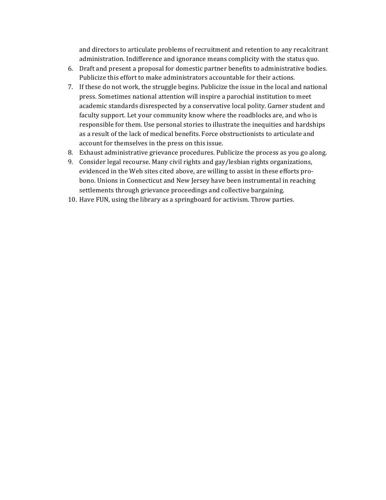and directors to articulate problems of recruitment and retention to any recalcitrant administration. Indifference and ignorance means complicity with the status quo.

- 6. Draft and present a proposal for domestic partner benefits to administrative bodies. Publicize this effort to make administrators accountable for their actions.
- 7. If these do not work, the struggle begins. Publicize the issue in the local and national press. Sometimes national attention will inspire a parochial institution to meet academic standards disrespected by a conservative local polity. Garner student and faculty support. Let your community know where the roadblocks are, and who is responsible for them. Use personal stories to illustrate the inequities and hardships as a result of the lack of medical benefits. Force obstructionists to articulate and account for themselves in the press on this issue.
- 8. Exhaust administrative grievance procedures. Publicize the process as you go along.
- 9. Consider legal recourse. Many civil rights and gay/lesbian rights organizations, evidenced in the Web sites cited above, are willing to assist in these efforts probono. Unions in Connecticut and New Jersey have been instrumental in reaching settlements through grievance proceedings and collective bargaining.
- 10. Have FUN, using the library as a springboard for activism. Throw parties.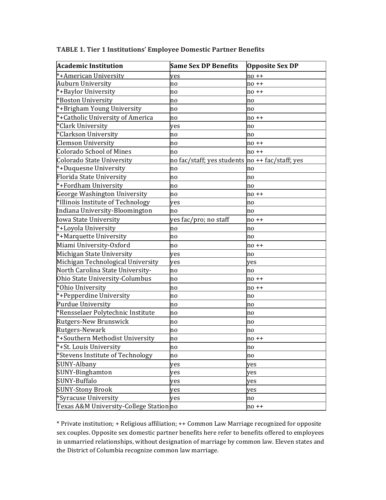| <b>Academic Institution</b>             | <b>Same Sex DP Benefits</b>                     | <b>Opposite Sex DP</b> |  |  |
|-----------------------------------------|-------------------------------------------------|------------------------|--|--|
| *+American University                   | ves                                             | $no++$                 |  |  |
| Auburn University                       | no                                              | $no++$                 |  |  |
| *+Baylor University                     | no                                              | $no++$                 |  |  |
| *Boston University                      | no                                              | no                     |  |  |
| *+Brigham Young University              | no                                              | no                     |  |  |
| *+Catholic University of America        | no                                              | $no++$                 |  |  |
| *Clark University                       | yes                                             | no                     |  |  |
| *Clarkson University                    | no                                              | no                     |  |  |
| Clemson University                      | no                                              | $no++$                 |  |  |
| Colorado School of Mines                | no                                              | $no++$                 |  |  |
| Colorado State University               | no fac/staff; yes students no ++ fac/staff; yes |                        |  |  |
| *+Duquesne University                   | no                                              | no                     |  |  |
| Florida State University                | no                                              | no                     |  |  |
| *+Fordham University                    | no                                              | no                     |  |  |
| George Washington University            | no                                              | $no++$                 |  |  |
| *Illinois Institute of Technology       | yes                                             | no                     |  |  |
| Indiana University-Bloomington          | no                                              | no                     |  |  |
| Iowa State University                   | yes fac/pro; no staff                           | $no++$                 |  |  |
| *+Loyola University                     | no                                              | no                     |  |  |
| *+Marquette University                  | no                                              | no                     |  |  |
| Miami University-Oxford                 | no                                              | $no++$                 |  |  |
| Michigan State University               | yes                                             | no                     |  |  |
| Michigan Technological University       | yes                                             | ves                    |  |  |
| North Carolina State University-        | no                                              | no                     |  |  |
| Ohio State University-Columbus          | no                                              | $no++$                 |  |  |
| *Ohio University                        | no                                              | no ++                  |  |  |
| *+Pepperdine University                 | no                                              | no                     |  |  |
| Purdue University                       | no                                              | no                     |  |  |
| *Rensselaer Polytechnic Institute       | no                                              | no                     |  |  |
| Rutgers-New Brunswick                   | no                                              | no                     |  |  |
| Rutgers-Newark                          | no                                              | no                     |  |  |
| *+Southern Methodist University         | no                                              | $no++$                 |  |  |
| *+St. Louis University                  | no                                              | no                     |  |  |
| *Stevens Institute of Technology        | no                                              | no                     |  |  |
| SUNY-Albany                             | yes                                             | yes                    |  |  |
| SUNY-Binghamton                         | yes                                             | yes                    |  |  |
| SUNY-Buffalo                            | yes                                             | yes                    |  |  |
| <b>SUNY-Stony Brook</b>                 | yes                                             | yes                    |  |  |
| *Syracuse University                    | yes                                             | no                     |  |  |
| Texas A&M University-College Station no |                                                 | $no++$                 |  |  |

TABLE 1. Tier 1 Institutions' Employee Domestic Partner Benefits

\* Private institution; + Religious affiliation; ++ Common Law Marriage recognized for opposite sex couples. Opposite sex domestic partner benefits here refer to benefits offered to employees in unmarried relationships, without designation of marriage by common law. Eleven states and the District of Columbia recognize common law marriage.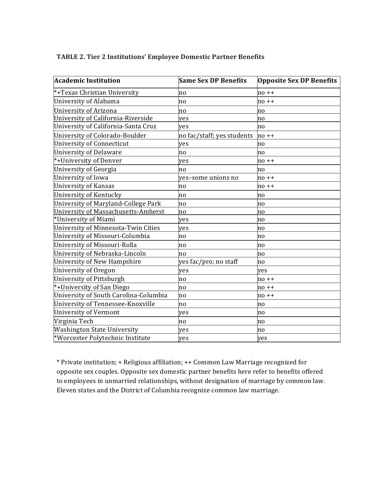| <b>Academic Institution</b>           | <b>Same Sex DP Benefits</b> | <b>Opposite Sex DP Benefits</b> |  |  |
|---------------------------------------|-----------------------------|---------------------------------|--|--|
| *+Texas Christian University          | lno                         | no ++                           |  |  |
| University of Alabama                 | lno                         | no ++                           |  |  |
| University of Arizona                 | no                          | no                              |  |  |
| University of California-Riverside    | yes                         | no                              |  |  |
| University of California-Santa Cruz   | lves                        | no                              |  |  |
| University of Colorado-Boulder        | no fac/staff; yes students  | $no++$                          |  |  |
| <b>University of Connecticut</b>      | ves                         | no                              |  |  |
| <b>University of Delaware</b>         | mo                          | ho                              |  |  |
| *+University of Denver                | lyes                        | no ++                           |  |  |
| University of Georgia                 | lno                         | no                              |  |  |
| University of Iowa                    | yes–some unions no          | no ++                           |  |  |
| <b>University of Kansas</b>           | no                          | $no++$                          |  |  |
| University of Kentucky                | lno                         | no                              |  |  |
| University of Maryland-College Park   | no                          | no                              |  |  |
| University of Massachusetts-Amherst   | no                          | no                              |  |  |
| *University of Miami                  | lves                        | no                              |  |  |
| University of Minnesota-Twin Cities   | lves                        | ho                              |  |  |
| University of Missouri-Columbia       | no                          | no                              |  |  |
| University of Missouri-Rolla          | lno                         | no                              |  |  |
| University of Nebraska-Lincoln        | no                          | no                              |  |  |
| University of New Hampshire           | yes fac/pro; no staff       | no                              |  |  |
| University of Oregon                  | ves                         | ves                             |  |  |
| University of Pittsburgh              | mo                          | $no++$                          |  |  |
| *+University of San Diego             | no                          | $no++$                          |  |  |
| University of South Carolina-Columbia | no                          | no ++                           |  |  |
| University of Tennessee-Knoxville     | lno                         | no                              |  |  |
| <b>University of Vermont</b>          | yes                         | no                              |  |  |
| Virginia Tech                         | no                          | ho                              |  |  |
| <b>Washington State University</b>    | lyes                        | no                              |  |  |
| *Worcester Polytechnic Institute      | yes                         | yes                             |  |  |

#### **TABLE 2. Tier 2 Institutions' Employee Domestic Partner Benefits**

\* Private institution; + Religious affiliation; ++ Common Law Marriage recognized for opposite sex couples. Opposite sex domestic partner benefits here refer to benefits offered to employees in unmarried relationships, without designation of marriage by common law. Eleven states and the District of Columbia recognize common law marriage.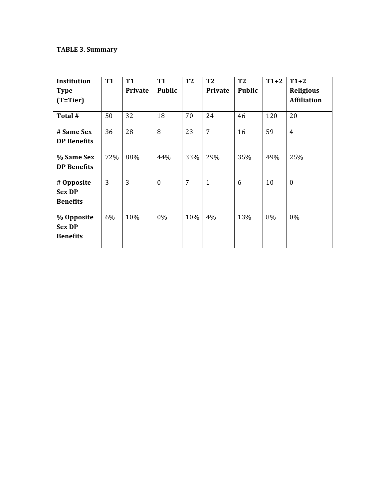### **TABLE 3. Summary**

| Institution        | <b>T1</b> | <b>T1</b>      | <b>T1</b>     | T <sub>2</sub> | T <sub>2</sub> | T <sub>2</sub> | $T1+2$ | $T1+2$             |
|--------------------|-----------|----------------|---------------|----------------|----------------|----------------|--------|--------------------|
| <b>Type</b>        |           | <b>Private</b> | <b>Public</b> |                | Private        | <b>Public</b>  |        | <b>Religious</b>   |
| $(T=Tier)$         |           |                |               |                |                |                |        | <b>Affiliation</b> |
|                    |           |                |               |                |                |                |        |                    |
| Total #            | 50        | 32             | 18            | 70             | 24             | 46             | 120    | 20                 |
| # Same Sex         | 36        | 28             | 8             | 23             | $\overline{7}$ | 16             | 59     | 4                  |
| <b>DP Benefits</b> |           |                |               |                |                |                |        |                    |
| % Same Sex         | 72%       | 88%            | 44%           | 33%            | 29%            | 35%            | 49%    | 25%                |
| <b>DP Benefits</b> |           |                |               |                |                |                |        |                    |
| # Opposite         | 3         | 3              | $\mathbf{0}$  | 7              | $\mathbf{1}$   | 6              | 10     | $\boldsymbol{0}$   |
| <b>Sex DP</b>      |           |                |               |                |                |                |        |                    |
| <b>Benefits</b>    |           |                |               |                |                |                |        |                    |
| % Opposite         | 6%        | 10%            | 0%            | 10%            | 4%             | 13%            | 8%     | 0%                 |
| <b>Sex DP</b>      |           |                |               |                |                |                |        |                    |
| <b>Benefits</b>    |           |                |               |                |                |                |        |                    |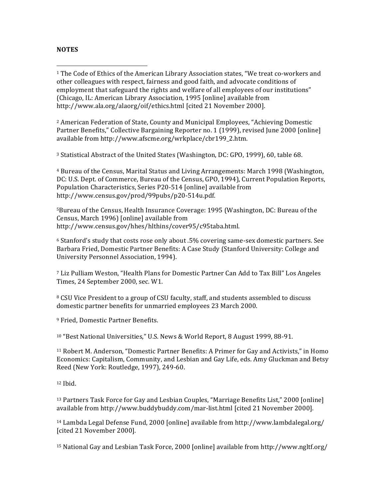#### **NOTES**

 

 $1$  The Code of Ethics of the American Library Association states, "We treat co-workers and other colleagues with respect, fairness and good faith, and advocate conditions of employment that safeguard the rights and welfare of all employees of our institutions" (Chicago, IL: American Library Association, 1995 [online] available from http://www.ala.org/alaorg/oif/ethics.html [cited 21 November 2000].

<sup>2</sup> American Federation of State, County and Municipal Employees, "Achieving Domestic Partner Benefits," Collective Bargaining Reporter no. 1 (1999), revised June 2000 [online] available from http://www.afscme.org/wrkplace/cbr199\_2.htm.

<sup>3</sup> Statistical Abstract of the United States (Washington, DC: GPO, 1999), 60, table 68.

<sup>4</sup> Bureau of the Census, Marital Status and Living Arrangements: March 1998 (Washington, DC: U.S. Dept. of Commerce, Bureau of the Census, GPO, 1994), Current Population Reports, Population Characteristics, Series P20-514 [online] available from http://www.census.gov/prod/99pubs/p20-514u.pdf.

 $5B$ ureau of the Census, Health Insurance Coverage: 1995 (Washington, DC: Bureau of the Census, March 1996) [online] available from http://www.census.gov/hhes/hlthins/cover95/c95taba.html.

 $6$  Stanford's study that costs rose only about .5% covering same-sex domestic partners. See Barbara Fried, Domestic Partner Benefits: A Case Study (Stanford University: College and University Personnel Association, 1994).

 $7$  Liz Pulliam Weston, "Health Plans for Domestic Partner Can Add to Tax Bill" Los Angeles Times, 24 September 2000, sec. W1.

<sup>8</sup> CSU Vice President to a group of CSU faculty, staff, and students assembled to discuss domestic partner benefits for unmarried employees 23 March 2000.

<sup>9</sup> Fried, Domestic Partner Benefits.

<sup>10</sup> "Best National Universities," U.S. News & World Report, 8 August 1999, 88-91.

<sup>11</sup> Robert M. Anderson, "Domestic Partner Benefits: A Primer for Gay and Activists," in Homo Economics: Capitalism, Community, and Lesbian and Gay Life, eds. Amy Gluckman and Betsy Reed (New York: Routledge, 1997), 249-60.

<sup>12</sup> Ibid.

 $13$  Partners Task Force for Gay and Lesbian Couples, "Marriage Benefits List," 2000 [online] available from http://www.buddybuddy.com/mar-list.html [cited 21 November 2000].

<sup>14</sup> Lambda Legal Defense Fund, 2000 [online] available from http://www.lambdalegal.org/ [cited 21 November 2000].

<sup>15</sup> National Gay and Lesbian Task Force, 2000 [online] available from http://www.ngltf.org/